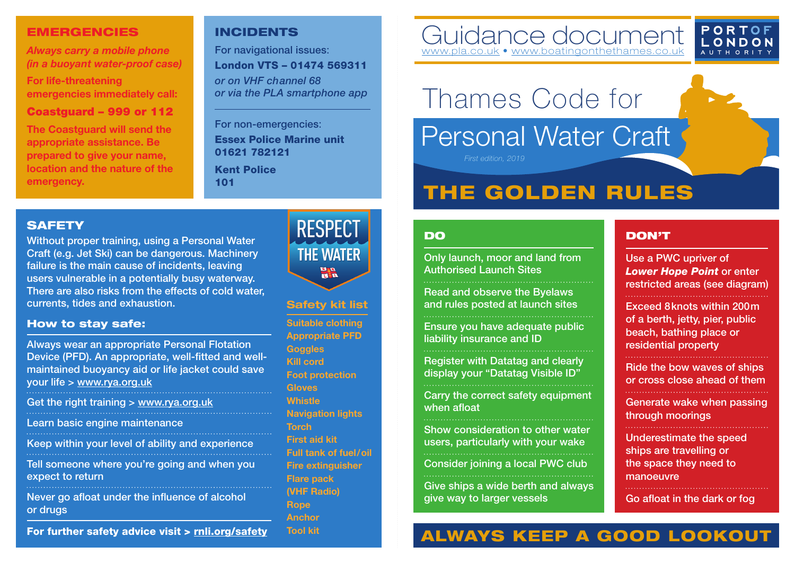#### EMERGENCIES

*Always carry a mobile phone (in a buoyant water-proof case)* 

**For life-threatening emergencies immediately call:**

#### Coastguard - 999 or 112

**The Coastguard will send the appropriate assistance. Be prepared to give your name, location and the nature of the emergency.**

### INCIDENTS

For navigational issues: London VTS – 01474 569311 *or on VHF channel 68* 

*or via the PLA smartphone app*

For non-emergencies: Essex Police Marine unit 01621 782121

Kent Police 101

### Guidance document [www.pla.co.uk](http://www.pla.co.uk) • www.boatingonthethames



# Thames Code for

## Personal Water Craft  *First edition, 2019*

# THE GOLDEN RULES

#### **SAFETY**

Without proper training, using a Personal Water Craft (e.g. Jet Ski) can be dangerous. Machinery failure is the main cause of incidents, leaving users vulnerable in a potentially busy waterway. There are also risks from the effects of cold water, currents, tides and exhaustion.

#### How to stay safe:

Always wear an appropriate Personal Flotation Device (PFD). An appropriate, well-fitted and wellmaintained buoyancy aid or life jacket could save your life > www.rya.org.uk

Get the right training > www.rya.org.uk

Learn basic engine maintenance

Keep within your level of ability and experience

Tell someone where you're going and when you expect to return

Never go afloat under the influence of alcohol or drugs

For further safety advice visit > [rnli.org/safety](https://rnli.org/safety)



#### **Safety kit list**

**Suitable clothing Appropriate PFD Goggles Kill cord Foot protection Gloves Whistle Navigation lights Torch First aid kit Full tank of fuel/oil Fire extinguisher Flare pack (VHF Radio) Rope Anchor Tool kit**

#### DO

Only launch, moor and land from Authorised Launch Sites

Read and observe the Byelaws and rules posted at launch sites

Ensure you have adequate public liability insurance and ID

Register with Datatag and clearly display your "Datatag Visible ID"

Carry the correct safety equipment when afloat

Show consideration to other water users, particularly with your wake

Consider joining a local PWC club

Give ships a wide berth and always give way to larger vessels

#### DON'T

Use a PWC upriver of *Lower Hope Point* or enter restricted areas (see diagram)

Exceed 8knots within 200m of a berth, jetty, pier, public beach, bathing place or residential property

Ride the bow waves of ships or cross close ahead of them

Generate wake when passing through moorings

Underestimate the speed ships are travelling or the space they need to **manoeuvre** 

Go afloat in the dark or fog

# ALWAYS KEEP A GOOD LOOKOUT